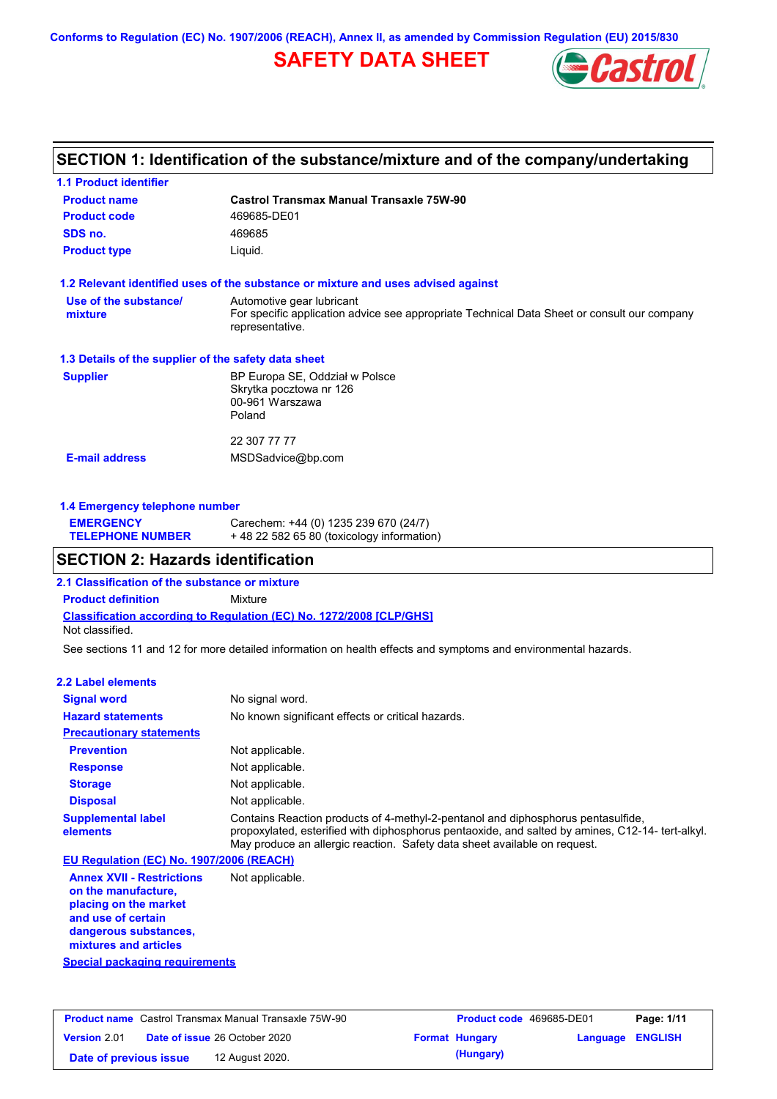**Conforms to Regulation (EC) No. 1907/2006 (REACH), Annex II, as amended by Commission Regulation (EU) 2015/830**

# **SAFETY DATA SHEET**



## **SECTION 1: Identification of the substance/mixture and of the company/undertaking**

| <b>1.1 Product identifier</b>                        |                                                                                                                |
|------------------------------------------------------|----------------------------------------------------------------------------------------------------------------|
| <b>Product name</b>                                  | Castrol Transmax Manual Transaxle 75W-90                                                                       |
| <b>Product code</b>                                  | 469685-DE01                                                                                                    |
| SDS no.                                              | 469685                                                                                                         |
| <b>Product type</b>                                  | Liquid.                                                                                                        |
|                                                      | 1.2 Relevant identified uses of the substance or mixture and uses advised against                              |
| Use of the substance/                                | Automotive gear lubricant                                                                                      |
| mixture                                              | For specific application advice see appropriate Technical Data Sheet or consult our company<br>representative. |
| 1.3 Details of the supplier of the safety data sheet |                                                                                                                |
| <b>Supplier</b>                                      | BP Europa SE, Oddział w Polsce                                                                                 |
|                                                      | Skrytka pocztowa nr 126                                                                                        |
|                                                      | 00-961 Warszawa                                                                                                |
|                                                      | Poland                                                                                                         |
|                                                      | 22 307 77 77                                                                                                   |
| <b>E-mail address</b>                                | MSDSadvice@bp.com                                                                                              |
|                                                      |                                                                                                                |
|                                                      |                                                                                                                |

### **1.4 Emergency telephone number**

| <b>EMERGENCY</b>        | Carechem: +44 (0) 1235 239 670 (24/7)     |
|-------------------------|-------------------------------------------|
| <b>TELEPHONE NUMBER</b> | +48 22 582 65 80 (toxicology information) |

## **SECTION 2: Hazards identification**

**2.1 Classification of the substance or mixture**

**Classification according to Regulation (EC) No. 1272/2008 [CLP/GHS] Product definition** Mixture Not classified.

See sections 11 and 12 for more detailed information on health effects and symptoms and environmental hazards.

### **2.2 Label elements**

| <b>Signal word</b>                       | No signal word.                                                                                                                                                                                                                                                  |
|------------------------------------------|------------------------------------------------------------------------------------------------------------------------------------------------------------------------------------------------------------------------------------------------------------------|
| <b>Hazard statements</b>                 | No known significant effects or critical hazards.                                                                                                                                                                                                                |
| <b>Precautionary statements</b>          |                                                                                                                                                                                                                                                                  |
| <b>Prevention</b>                        | Not applicable.                                                                                                                                                                                                                                                  |
| <b>Response</b>                          | Not applicable.                                                                                                                                                                                                                                                  |
| <b>Storage</b>                           | Not applicable.                                                                                                                                                                                                                                                  |
| <b>Disposal</b>                          | Not applicable.                                                                                                                                                                                                                                                  |
| <b>Supplemental label</b><br>elements    | Contains Reaction products of 4-methyl-2-pentanol and diphosphorus pentasulfide,<br>propoxylated, esterified with diphosphorus pentaoxide, and salted by amines, C12-14-tert-alkyl.<br>May produce an allergic reaction. Safety data sheet available on request. |
| EU Regulation (EC) No. 1907/2006 (REACH) |                                                                                                                                                                                                                                                                  |

**Annex XVII - Restrictions on the manufacture, placing on the market and use of certain dangerous substances, mixtures and articles** Not applicable.

**Special packaging requirements**

| <b>Product name</b> Castrol Transmax Manual Transaxle 75W-90 |                                      | <b>Product code</b> 469685-DE01 |                       | Page: 1/11              |  |
|--------------------------------------------------------------|--------------------------------------|---------------------------------|-----------------------|-------------------------|--|
| <b>Version 2.01</b>                                          | <b>Date of issue 26 October 2020</b> |                                 | <b>Format Hungary</b> | <b>Language ENGLISH</b> |  |
| Date of previous issue                                       | 12 August 2020.                      |                                 | (Hungary)             |                         |  |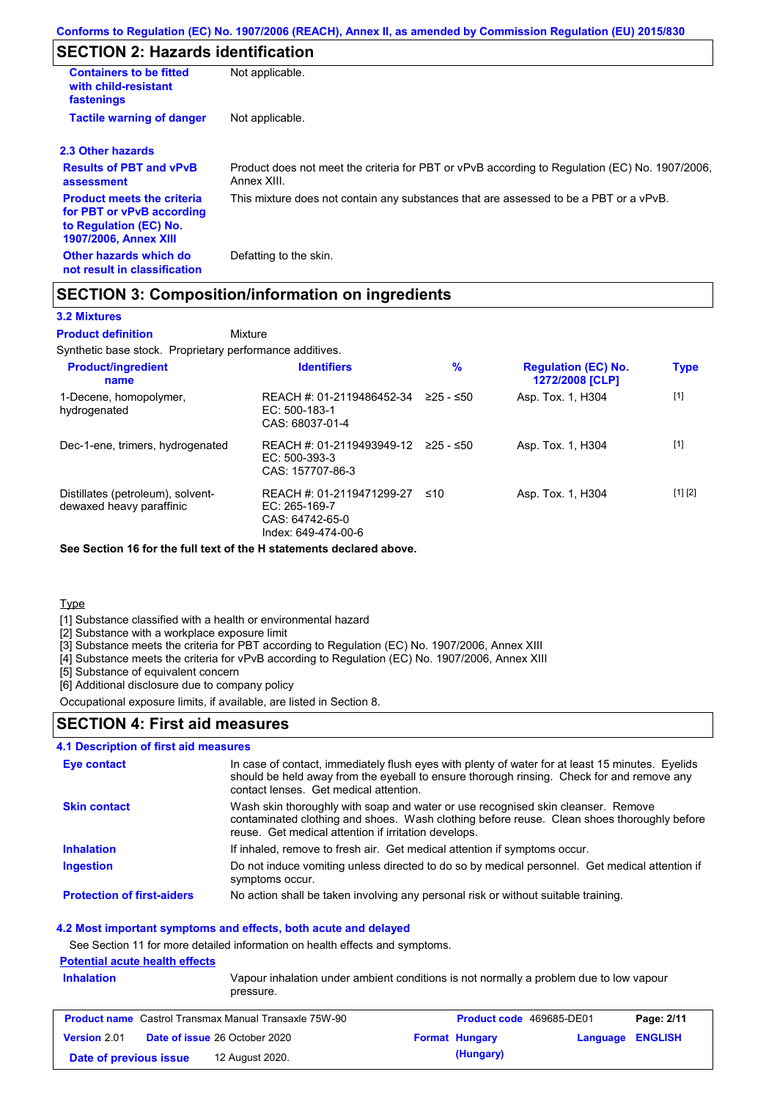# **SECTION 2: Hazards identification**

| <b>Containers to be fitted</b><br>with child-resistant<br>fastenings                                                     | Not applicable.                                                                                               |
|--------------------------------------------------------------------------------------------------------------------------|---------------------------------------------------------------------------------------------------------------|
| <b>Tactile warning of danger</b>                                                                                         | Not applicable.                                                                                               |
| 2.3 Other hazards                                                                                                        |                                                                                                               |
| <b>Results of PBT and vPvB</b><br>assessment                                                                             | Product does not meet the criteria for PBT or vPvB according to Regulation (EC) No. 1907/2006,<br>Annex XIII. |
| <b>Product meets the criteria</b><br>for PBT or vPvB according<br>to Regulation (EC) No.<br><b>1907/2006, Annex XIII</b> | This mixture does not contain any substances that are assessed to be a PBT or a vPvB.                         |
| Other hazards which do<br>not result in classification                                                                   | Defatting to the skin.                                                                                        |

## **SECTION 3: Composition/information on ingredients**

#### **3.2 Mixtures**

Mixture **Product definition**

Synthetic base stock. Proprietary performance additives.

| <b>Product/ingredient</b><br>name                             | <b>Identifiers</b>                                                                   | $\%$      | <b>Regulation (EC) No.</b><br>1272/2008 [CLP] | <b>Type</b> |
|---------------------------------------------------------------|--------------------------------------------------------------------------------------|-----------|-----------------------------------------------|-------------|
| 1-Decene, homopolymer,<br>hydrogenated                        | REACH #: 01-2119486452-34<br>EC: 500-183-1<br>CAS: 68037-01-4                        | ≥25 - ≤50 | Asp. Tox. 1, H304                             | $[1]$       |
| Dec-1-ene, trimers, hydrogenated                              | REACH #: 01-2119493949-12<br>EC: 500-393-3<br>CAS: 157707-86-3                       | 225 - ≤50 | Asp. Tox. 1, H304                             | $[1]$       |
| Distillates (petroleum), solvent-<br>dewaxed heavy paraffinic | REACH #: 01-2119471299-27<br>EC: 265-169-7<br>CAS: 64742-65-0<br>Index: 649-474-00-6 | ≤10       | Asp. Tox. 1, H304                             | [1] [2]     |

**See Section 16 for the full text of the H statements declared above.**

**Type** 

[1] Substance classified with a health or environmental hazard

[2] Substance with a workplace exposure limit

[3] Substance meets the criteria for PBT according to Regulation (EC) No. 1907/2006, Annex XIII

[4] Substance meets the criteria for vPvB according to Regulation (EC) No. 1907/2006, Annex XIII

[5] Substance of equivalent concern

[6] Additional disclosure due to company policy

Occupational exposure limits, if available, are listed in Section 8.

### **SECTION 4: First aid measures**

### **4.1 Description of first aid measures**

| Eye contact                       | In case of contact, immediately flush eyes with plenty of water for at least 15 minutes. Eyelids<br>should be held away from the eyeball to ensure thorough rinsing. Check for and remove any<br>contact lenses. Get medical attention. |
|-----------------------------------|-----------------------------------------------------------------------------------------------------------------------------------------------------------------------------------------------------------------------------------------|
| <b>Skin contact</b>               | Wash skin thoroughly with soap and water or use recognised skin cleanser. Remove<br>contaminated clothing and shoes. Wash clothing before reuse. Clean shoes thoroughly before<br>reuse. Get medical attention if irritation develops.  |
| <b>Inhalation</b>                 | If inhaled, remove to fresh air. Get medical attention if symptoms occur.                                                                                                                                                               |
| <b>Ingestion</b>                  | Do not induce vomiting unless directed to do so by medical personnel. Get medical attention if<br>symptoms occur.                                                                                                                       |
| <b>Protection of first-aiders</b> | No action shall be taken involving any personal risk or without suitable training.                                                                                                                                                      |

### **4.2 Most important symptoms and effects, both acute and delayed**

See Section 11 for more detailed information on health effects and symptoms.

### **Potential acute health effects**

| <b>Inhalation</b>      | Vapour inhalation under ambient conditions is not normally a problem due to low vapour<br>pressure. |  |                          |                         |            |  |
|------------------------|-----------------------------------------------------------------------------------------------------|--|--------------------------|-------------------------|------------|--|
|                        | <b>Product name</b> Castrol Transmax Manual Transaxle 75W-90                                        |  | Product code 469685-DE01 |                         | Page: 2/11 |  |
| <b>Version 2.01</b>    | <b>Date of issue 26 October 2020</b>                                                                |  | <b>Format Hungary</b>    | <b>Language ENGLISH</b> |            |  |
| Date of previous issue | 12 August 2020.                                                                                     |  | (Hungary)                |                         |            |  |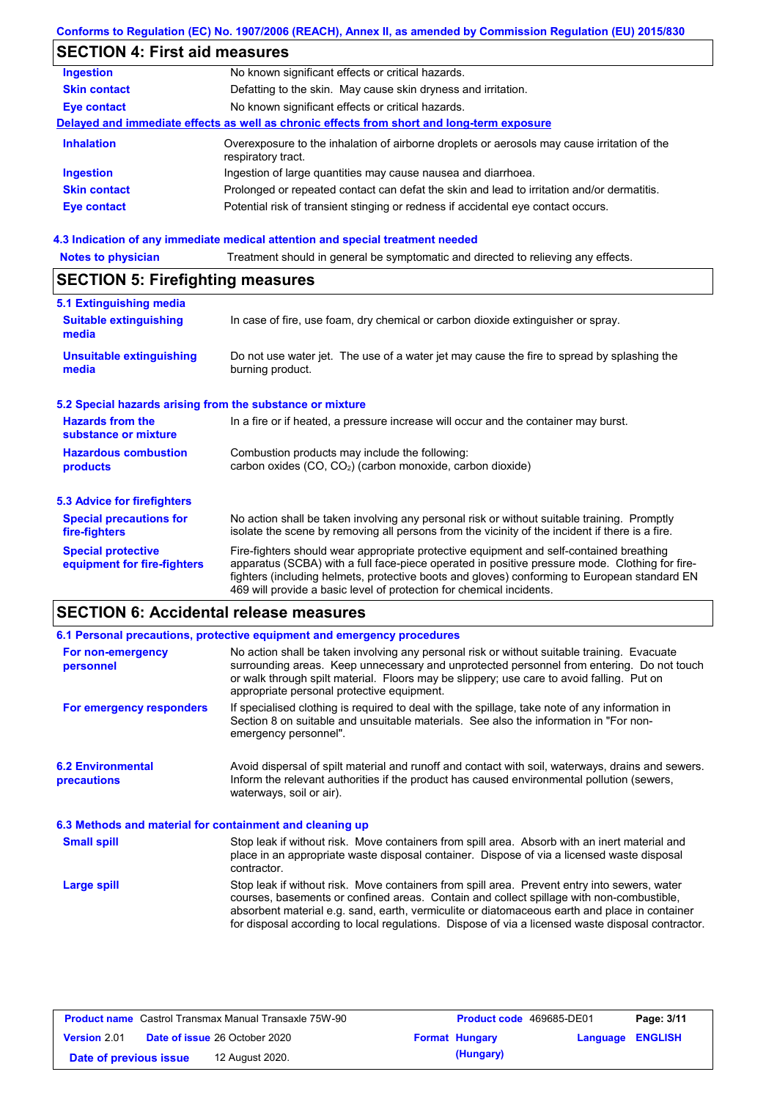## **Conforms to Regulation (EC) No. 1907/2006 (REACH), Annex II, as amended by Commission Regulation (EU) 2015/830**

# **SECTION 4: First aid measures**

| <b>Ingestion</b>    | No known significant effects or critical hazards.                                                                 |
|---------------------|-------------------------------------------------------------------------------------------------------------------|
| <b>Skin contact</b> | Defatting to the skin. May cause skin dryness and irritation.                                                     |
| Eye contact         | No known significant effects or critical hazards.                                                                 |
|                     | Delayed and immediate effects as well as chronic effects from short and long-term exposure                        |
| <b>Inhalation</b>   | Overexposure to the inhalation of airborne droplets or aerosols may cause irritation of the<br>respiratory tract. |
| <b>Ingestion</b>    | Ingestion of large quantities may cause nausea and diarrhoea.                                                     |
| <b>Skin contact</b> | Prolonged or repeated contact can defat the skin and lead to irritation and/or dermatitis.                        |
| <b>Eye contact</b>  | Potential risk of transient stinging or redness if accidental eye contact occurs.                                 |
|                     |                                                                                                                   |

### **4.3 Indication of any immediate medical attention and special treatment needed**

| <b>Notes to physician</b>                                 | Treatment should in general be symptomatic and directed to relieving any effects.                                                                                                                                                                                                                                                                                 |  |  |  |
|-----------------------------------------------------------|-------------------------------------------------------------------------------------------------------------------------------------------------------------------------------------------------------------------------------------------------------------------------------------------------------------------------------------------------------------------|--|--|--|
| <b>SECTION 5: Firefighting measures</b>                   |                                                                                                                                                                                                                                                                                                                                                                   |  |  |  |
| 5.1 Extinguishing media                                   |                                                                                                                                                                                                                                                                                                                                                                   |  |  |  |
| <b>Suitable extinguishing</b><br>media                    | In case of fire, use foam, dry chemical or carbon dioxide extinguisher or spray.                                                                                                                                                                                                                                                                                  |  |  |  |
| <b>Unsuitable extinguishing</b><br>media                  | Do not use water jet. The use of a water jet may cause the fire to spread by splashing the<br>burning product.                                                                                                                                                                                                                                                    |  |  |  |
| 5.2 Special hazards arising from the substance or mixture |                                                                                                                                                                                                                                                                                                                                                                   |  |  |  |
| <b>Hazards from the</b><br>substance or mixture           | In a fire or if heated, a pressure increase will occur and the container may burst.                                                                                                                                                                                                                                                                               |  |  |  |
| <b>Hazardous combustion</b>                               | Combustion products may include the following:                                                                                                                                                                                                                                                                                                                    |  |  |  |
| products                                                  | carbon oxides (CO, CO <sub>2</sub> ) (carbon monoxide, carbon dioxide)                                                                                                                                                                                                                                                                                            |  |  |  |
| 5.3 Advice for firefighters                               |                                                                                                                                                                                                                                                                                                                                                                   |  |  |  |
| <b>Special precautions for</b><br>fire-fighters           | No action shall be taken involving any personal risk or without suitable training. Promptly<br>isolate the scene by removing all persons from the vicinity of the incident if there is a fire.                                                                                                                                                                    |  |  |  |
| <b>Special protective</b><br>equipment for fire-fighters  | Fire-fighters should wear appropriate protective equipment and self-contained breathing<br>apparatus (SCBA) with a full face-piece operated in positive pressure mode. Clothing for fire-<br>fighters (including helmets, protective boots and gloves) conforming to European standard EN<br>469 will provide a basic level of protection for chemical incidents. |  |  |  |

# **SECTION 6: Accidental release measures**

|                                                          | 6.1 Personal precautions, protective equipment and emergency procedures                                                                                                                                                                                                                                                                                                                        |
|----------------------------------------------------------|------------------------------------------------------------------------------------------------------------------------------------------------------------------------------------------------------------------------------------------------------------------------------------------------------------------------------------------------------------------------------------------------|
| For non-emergency<br>personnel                           | No action shall be taken involving any personal risk or without suitable training. Evacuate<br>surrounding areas. Keep unnecessary and unprotected personnel from entering. Do not touch<br>or walk through spilt material. Floors may be slippery; use care to avoid falling. Put on<br>appropriate personal protective equipment.                                                            |
| For emergency responders                                 | If specialised clothing is required to deal with the spillage, take note of any information in<br>Section 8 on suitable and unsuitable materials. See also the information in "For non-<br>emergency personnel".                                                                                                                                                                               |
| <b>6.2 Environmental</b><br><b>precautions</b>           | Avoid dispersal of spilt material and runoff and contact with soil, waterways, drains and sewers.<br>Inform the relevant authorities if the product has caused environmental pollution (sewers,<br>waterways, soil or air).                                                                                                                                                                    |
| 6.3 Methods and material for containment and cleaning up |                                                                                                                                                                                                                                                                                                                                                                                                |
| <b>Small spill</b>                                       | Stop leak if without risk. Move containers from spill area. Absorb with an inert material and<br>place in an appropriate waste disposal container. Dispose of via a licensed waste disposal<br>contractor.                                                                                                                                                                                     |
| <b>Large spill</b>                                       | Stop leak if without risk. Move containers from spill area. Prevent entry into sewers, water<br>courses, basements or confined areas. Contain and collect spillage with non-combustible,<br>absorbent material e.g. sand, earth, vermiculite or diatomaceous earth and place in container<br>for disposal according to local regulations. Dispose of via a licensed waste disposal contractor. |

| <b>Product name</b> Castrol Transmax Manual Transaxle 75W-90 |  |                                      | <b>Product code</b> 469685-DE01 | Page: 3/11            |                         |  |
|--------------------------------------------------------------|--|--------------------------------------|---------------------------------|-----------------------|-------------------------|--|
| <b>Version 2.01</b>                                          |  | <b>Date of issue 26 October 2020</b> |                                 | <b>Format Hungary</b> | <b>Language ENGLISH</b> |  |
| Date of previous issue                                       |  | 12 August 2020.                      |                                 | (Hungary)             |                         |  |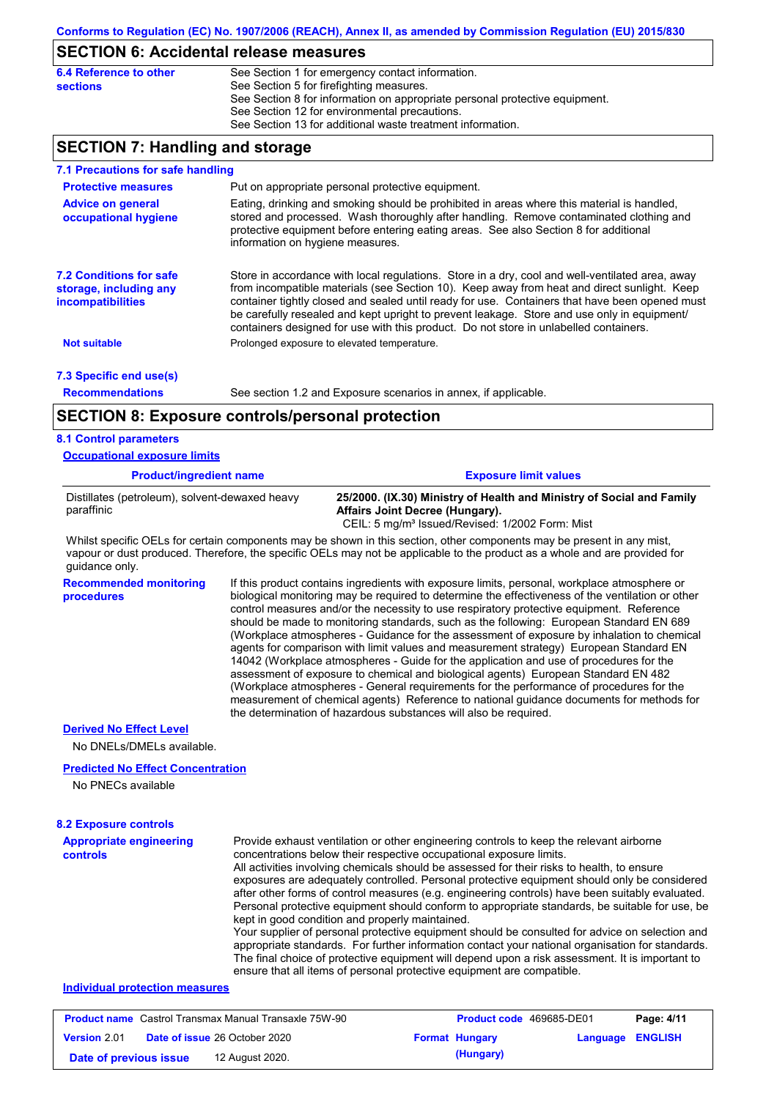### **SECTION 6: Accidental release measures**

| 6.4 Reference to other | See Section 1 for emergency contact information.                            |
|------------------------|-----------------------------------------------------------------------------|
| sections               | See Section 5 for firefighting measures.                                    |
|                        | See Section 8 for information on appropriate personal protective equipment. |
|                        | See Section 12 for environmental precautions.                               |
|                        | See Section 13 for additional waste treatment information.                  |
|                        |                                                                             |

## **SECTION 7: Handling and storage**

| 7.1 Precautions for safe handling                                                    |                                                         |                                                                                                                                                                                                                                                                                                                                                                                                                                                                                          |
|--------------------------------------------------------------------------------------|---------------------------------------------------------|------------------------------------------------------------------------------------------------------------------------------------------------------------------------------------------------------------------------------------------------------------------------------------------------------------------------------------------------------------------------------------------------------------------------------------------------------------------------------------------|
| <b>Protective measures</b>                                                           | Put on appropriate personal protective equipment.       |                                                                                                                                                                                                                                                                                                                                                                                                                                                                                          |
| <b>Advice on general</b><br>occupational hygiene                                     | information on hygiene measures.                        | Eating, drinking and smoking should be prohibited in areas where this material is handled,<br>stored and processed. Wash thoroughly after handling. Remove contaminated clothing and<br>protective equipment before entering eating areas. See also Section 8 for additional                                                                                                                                                                                                             |
| <b>7.2 Conditions for safe</b><br>storage, including any<br><i>incompatibilities</i> |                                                         | Store in accordance with local regulations. Store in a dry, cool and well-ventilated area, away<br>from incompatible materials (see Section 10). Keep away from heat and direct sunlight. Keep<br>container tightly closed and sealed until ready for use. Containers that have been opened must<br>be carefully resealed and kept upright to prevent leakage. Store and use only in equipment/<br>containers designed for use with this product. Do not store in unlabelled containers. |
| <b>Not suitable</b>                                                                  | Prolonged exposure to elevated temperature.             |                                                                                                                                                                                                                                                                                                                                                                                                                                                                                          |
| 7.3 Specific end use(s)                                                              |                                                         |                                                                                                                                                                                                                                                                                                                                                                                                                                                                                          |
| <b>Recommendations</b>                                                               |                                                         | See section 1.2 and Exposure scenarios in annex, if applicable.                                                                                                                                                                                                                                                                                                                                                                                                                          |
|                                                                                      | <b>SECTION 8: Exposure controls/personal protection</b> |                                                                                                                                                                                                                                                                                                                                                                                                                                                                                          |
| <b>8.1 Control parameters</b>                                                        |                                                         |                                                                                                                                                                                                                                                                                                                                                                                                                                                                                          |
| <b>Occupational exposure limits</b>                                                  |                                                         |                                                                                                                                                                                                                                                                                                                                                                                                                                                                                          |
| <b>Product/ingredient name</b>                                                       |                                                         | <b>Exposure limit values</b>                                                                                                                                                                                                                                                                                                                                                                                                                                                             |

| Distillates (petroleum), solvent-dewaxed heavy<br>paraffinic | 25/2000. (IX.30) Ministry of Health and Ministry of Social and Family<br>Affairs Joint Decree (Hungary).<br>CEIL: 5 mg/m <sup>3</sup> Issued/Revised: 1/2002 Form: Mist |
|--------------------------------------------------------------|-------------------------------------------------------------------------------------------------------------------------------------------------------------------------|
|                                                              |                                                                                                                                                                         |

Whilst specific OELs for certain components may be shown in this section, other components may be present in any mist, vapour or dust produced. Therefore, the specific OELs may not be applicable to the product as a whole and are provided for guidance only.

**Recommended monitoring**  If this product contains ingredients with exposure limits, personal, workplace atmosphere or biological monitoring may be required to determine the effectiveness of the ventilation or other control measures and/or the necessity to use respiratory protective equipment. Reference should be made to monitoring standards, such as the following: European Standard EN 689 (Workplace atmospheres - Guidance for the assessment of exposure by inhalation to chemical agents for comparison with limit values and measurement strategy) European Standard EN 14042 (Workplace atmospheres - Guide for the application and use of procedures for the assessment of exposure to chemical and biological agents) European Standard EN 482 (Workplace atmospheres - General requirements for the performance of procedures for the measurement of chemical agents) Reference to national guidance documents for methods for the determination of hazardous substances will also be required.

#### **Derived No Effect Level**

**procedures**

No DNELs/DMELs available.

#### **Predicted No Effect Concentration**

No PNECs available

| <b>8.2 Exposure controls</b>               |                                                                                                                                                                                                                                                                                                                                                                                                                                                                                                                                                                                                                                                                                                                                                                                                                                                                                                                                                                                                         |
|--------------------------------------------|---------------------------------------------------------------------------------------------------------------------------------------------------------------------------------------------------------------------------------------------------------------------------------------------------------------------------------------------------------------------------------------------------------------------------------------------------------------------------------------------------------------------------------------------------------------------------------------------------------------------------------------------------------------------------------------------------------------------------------------------------------------------------------------------------------------------------------------------------------------------------------------------------------------------------------------------------------------------------------------------------------|
| <b>Appropriate engineering</b><br>controls | Provide exhaust ventilation or other engineering controls to keep the relevant airborne<br>concentrations below their respective occupational exposure limits.<br>All activities involving chemicals should be assessed for their risks to health, to ensure<br>exposures are adequately controlled. Personal protective equipment should only be considered<br>after other forms of control measures (e.g. engineering controls) have been suitably evaluated.<br>Personal protective equipment should conform to appropriate standards, be suitable for use, be<br>kept in good condition and properly maintained.<br>Your supplier of personal protective equipment should be consulted for advice on selection and<br>appropriate standards. For further information contact your national organisation for standards.<br>The final choice of protective equipment will depend upon a risk assessment. It is important to<br>ensure that all items of personal protective equipment are compatible. |
| Individual protection measures             |                                                                                                                                                                                                                                                                                                                                                                                                                                                                                                                                                                                                                                                                                                                                                                                                                                                                                                                                                                                                         |

### **Product name** Castrol Transmax Manual Transaxle 75W-90 **Product code** 469685-DE01 **Page: 4/11 Version** 2.01 **Date of issue** 26 October 2020 **Format Hungary Language ENGLISH Date of previous issue (Hungary)** 12 August 2020.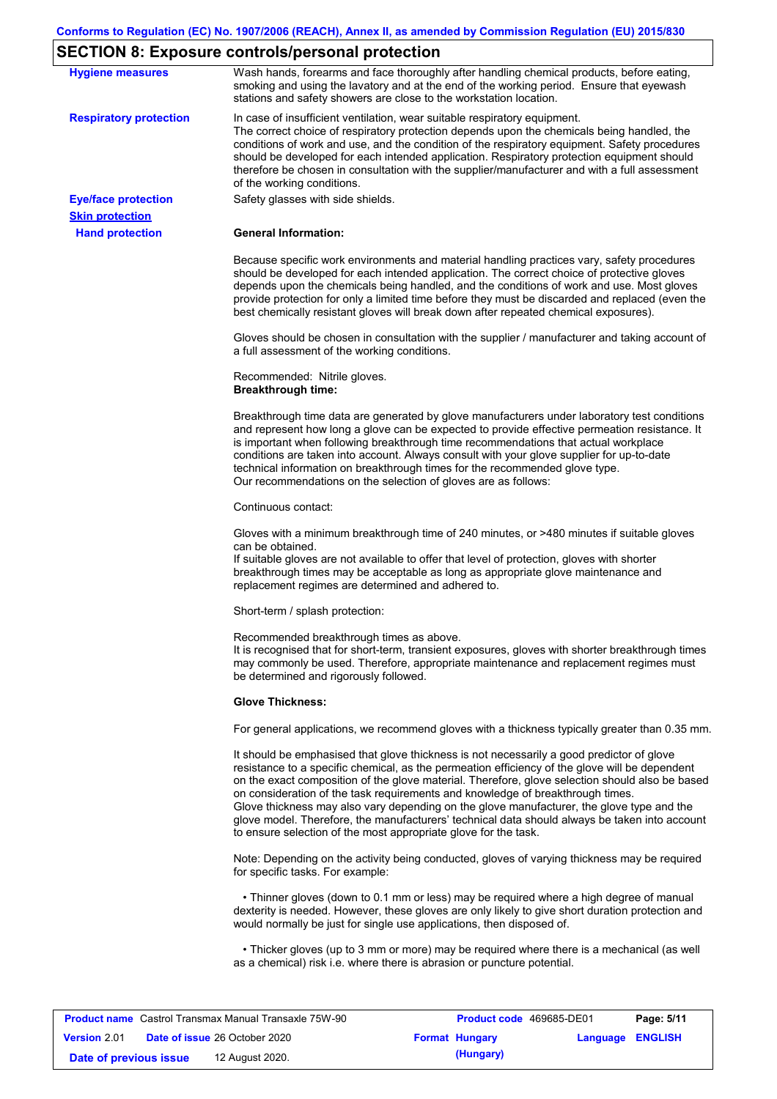# **SECTION 8: Exposure controls/personal protection**

| <b>Hygiene measures</b>       | Wash hands, forearms and face thoroughly after handling chemical products, before eating,<br>smoking and using the lavatory and at the end of the working period. Ensure that eyewash<br>stations and safety showers are close to the workstation location.                                                                                                                                                                                                                                                                                                                                                                                       |
|-------------------------------|---------------------------------------------------------------------------------------------------------------------------------------------------------------------------------------------------------------------------------------------------------------------------------------------------------------------------------------------------------------------------------------------------------------------------------------------------------------------------------------------------------------------------------------------------------------------------------------------------------------------------------------------------|
| <b>Respiratory protection</b> | In case of insufficient ventilation, wear suitable respiratory equipment.<br>The correct choice of respiratory protection depends upon the chemicals being handled, the<br>conditions of work and use, and the condition of the respiratory equipment. Safety procedures<br>should be developed for each intended application. Respiratory protection equipment should<br>therefore be chosen in consultation with the supplier/manufacturer and with a full assessment<br>of the working conditions.                                                                                                                                             |
| <b>Eye/face protection</b>    | Safety glasses with side shields.                                                                                                                                                                                                                                                                                                                                                                                                                                                                                                                                                                                                                 |
| <b>Skin protection</b>        |                                                                                                                                                                                                                                                                                                                                                                                                                                                                                                                                                                                                                                                   |
| <b>Hand protection</b>        | <b>General Information:</b>                                                                                                                                                                                                                                                                                                                                                                                                                                                                                                                                                                                                                       |
|                               | Because specific work environments and material handling practices vary, safety procedures<br>should be developed for each intended application. The correct choice of protective gloves<br>depends upon the chemicals being handled, and the conditions of work and use. Most gloves<br>provide protection for only a limited time before they must be discarded and replaced (even the<br>best chemically resistant gloves will break down after repeated chemical exposures).                                                                                                                                                                  |
|                               | Gloves should be chosen in consultation with the supplier / manufacturer and taking account of<br>a full assessment of the working conditions.                                                                                                                                                                                                                                                                                                                                                                                                                                                                                                    |
|                               | Recommended: Nitrile gloves.<br><b>Breakthrough time:</b>                                                                                                                                                                                                                                                                                                                                                                                                                                                                                                                                                                                         |
|                               | Breakthrough time data are generated by glove manufacturers under laboratory test conditions<br>and represent how long a glove can be expected to provide effective permeation resistance. It<br>is important when following breakthrough time recommendations that actual workplace<br>conditions are taken into account. Always consult with your glove supplier for up-to-date<br>technical information on breakthrough times for the recommended glove type.<br>Our recommendations on the selection of gloves are as follows:                                                                                                                |
|                               | Continuous contact:                                                                                                                                                                                                                                                                                                                                                                                                                                                                                                                                                                                                                               |
|                               | Gloves with a minimum breakthrough time of 240 minutes, or >480 minutes if suitable gloves<br>can be obtained.<br>If suitable gloves are not available to offer that level of protection, gloves with shorter<br>breakthrough times may be acceptable as long as appropriate glove maintenance and<br>replacement regimes are determined and adhered to.                                                                                                                                                                                                                                                                                          |
|                               | Short-term / splash protection:                                                                                                                                                                                                                                                                                                                                                                                                                                                                                                                                                                                                                   |
|                               | Recommended breakthrough times as above.<br>It is recognised that for short-term, transient exposures, gloves with shorter breakthrough times<br>may commonly be used. Therefore, appropriate maintenance and replacement regimes must<br>be determined and rigorously followed.                                                                                                                                                                                                                                                                                                                                                                  |
|                               | <b>Glove Thickness:</b>                                                                                                                                                                                                                                                                                                                                                                                                                                                                                                                                                                                                                           |
|                               | For general applications, we recommend gloves with a thickness typically greater than 0.35 mm.                                                                                                                                                                                                                                                                                                                                                                                                                                                                                                                                                    |
|                               | It should be emphasised that glove thickness is not necessarily a good predictor of glove<br>resistance to a specific chemical, as the permeation efficiency of the glove will be dependent<br>on the exact composition of the glove material. Therefore, glove selection should also be based<br>on consideration of the task requirements and knowledge of breakthrough times.<br>Glove thickness may also vary depending on the glove manufacturer, the glove type and the<br>glove model. Therefore, the manufacturers' technical data should always be taken into account<br>to ensure selection of the most appropriate glove for the task. |
|                               | Note: Depending on the activity being conducted, gloves of varying thickness may be required<br>for specific tasks. For example:                                                                                                                                                                                                                                                                                                                                                                                                                                                                                                                  |
|                               | • Thinner gloves (down to 0.1 mm or less) may be required where a high degree of manual<br>dexterity is needed. However, these gloves are only likely to give short duration protection and<br>would normally be just for single use applications, then disposed of.                                                                                                                                                                                                                                                                                                                                                                              |
|                               | • Thicker gloves (up to 3 mm or more) may be required where there is a mechanical (as well<br>as a chemical) risk i.e. where there is abrasion or puncture potential.                                                                                                                                                                                                                                                                                                                                                                                                                                                                             |

| <b>Product name</b> Castrol Transmax Manual Transaxle 75W-90 |  |                                      | <b>Product code</b> 469685-DE01 |                       | Page: 5/11              |  |
|--------------------------------------------------------------|--|--------------------------------------|---------------------------------|-----------------------|-------------------------|--|
| <b>Version 2.01</b>                                          |  | <b>Date of issue 26 October 2020</b> |                                 | <b>Format Hungary</b> | <b>Language ENGLISH</b> |  |
| Date of previous issue                                       |  | 12 August 2020.                      |                                 | (Hungary)             |                         |  |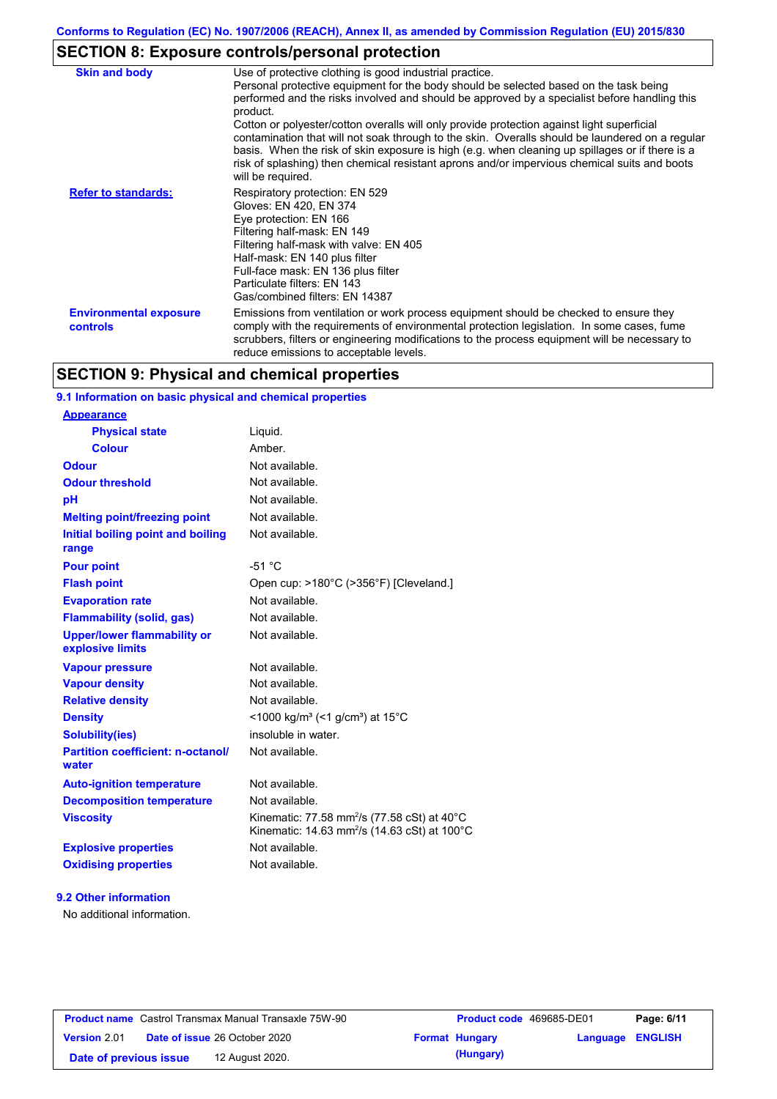# **SECTION 8: Exposure controls/personal protection**

| <b>Skin and body</b>                             | Use of protective clothing is good industrial practice.<br>Personal protective equipment for the body should be selected based on the task being<br>performed and the risks involved and should be approved by a specialist before handling this<br>product.<br>Cotton or polyester/cotton overalls will only provide protection against light superficial<br>contamination that will not soak through to the skin. Overalls should be laundered on a regular<br>basis. When the risk of skin exposure is high (e.g. when cleaning up spillages or if there is a<br>risk of splashing) then chemical resistant aprons and/or impervious chemical suits and boots<br>will be required. |
|--------------------------------------------------|---------------------------------------------------------------------------------------------------------------------------------------------------------------------------------------------------------------------------------------------------------------------------------------------------------------------------------------------------------------------------------------------------------------------------------------------------------------------------------------------------------------------------------------------------------------------------------------------------------------------------------------------------------------------------------------|
| <b>Refer to standards:</b>                       | Respiratory protection: EN 529<br>Gloves: EN 420, EN 374<br>Eye protection: EN 166<br>Filtering half-mask: EN 149<br>Filtering half-mask with valve: EN 405<br>Half-mask: EN 140 plus filter<br>Full-face mask: EN 136 plus filter<br>Particulate filters: EN 143<br>Gas/combined filters: EN 14387                                                                                                                                                                                                                                                                                                                                                                                   |
| <b>Environmental exposure</b><br><b>controls</b> | Emissions from ventilation or work process equipment should be checked to ensure they<br>comply with the requirements of environmental protection legislation. In some cases, fume<br>scrubbers, filters or engineering modifications to the process equipment will be necessary to<br>reduce emissions to acceptable levels.                                                                                                                                                                                                                                                                                                                                                         |

# **SECTION 9: Physical and chemical properties**

### **9.1 Information on basic physical and chemical properties**

### **9.2 Other information**

No additional information.

| <b>Product name</b> Castrol Transmax Manual Transaxle 75W-90 |                                      | <b>Product code</b> 469685-DE01 |                       | Page: 6/11              |  |
|--------------------------------------------------------------|--------------------------------------|---------------------------------|-----------------------|-------------------------|--|
| Version 2.01                                                 | <b>Date of issue 26 October 2020</b> |                                 | <b>Format Hungary</b> | <b>Language ENGLISH</b> |  |
| Date of previous issue                                       |                                      | 12 August 2020.                 | (Hungary)             |                         |  |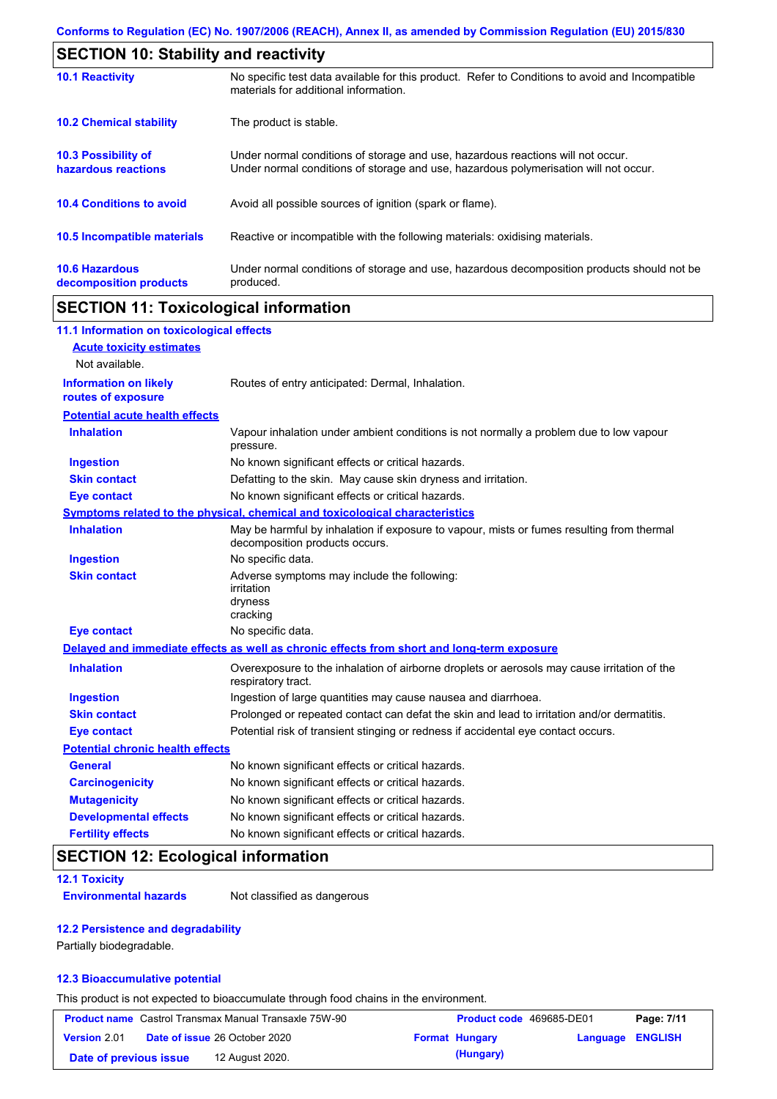|                                                 | <b>SECTION 10: Stability and reactivity</b>                                                                                                                             |  |  |  |
|-------------------------------------------------|-------------------------------------------------------------------------------------------------------------------------------------------------------------------------|--|--|--|
| <b>10.1 Reactivity</b>                          | No specific test data available for this product. Refer to Conditions to avoid and Incompatible<br>materials for additional information.                                |  |  |  |
| <b>10.2 Chemical stability</b>                  | The product is stable.                                                                                                                                                  |  |  |  |
| 10.3 Possibility of<br>hazardous reactions      | Under normal conditions of storage and use, hazardous reactions will not occur.<br>Under normal conditions of storage and use, hazardous polymerisation will not occur. |  |  |  |
| <b>10.4 Conditions to avoid</b>                 | Avoid all possible sources of ignition (spark or flame).                                                                                                                |  |  |  |
| <b>10.5 Incompatible materials</b>              | Reactive or incompatible with the following materials: oxidising materials.                                                                                             |  |  |  |
| <b>10.6 Hazardous</b><br>decomposition products | Under normal conditions of storage and use, hazardous decomposition products should not be<br>produced.                                                                 |  |  |  |

# **SECTION 11: Toxicological information**

| 11.1 Information on toxicological effects          |                                                                                                                             |
|----------------------------------------------------|-----------------------------------------------------------------------------------------------------------------------------|
| <b>Acute toxicity estimates</b>                    |                                                                                                                             |
| Not available.                                     |                                                                                                                             |
| <b>Information on likely</b><br>routes of exposure | Routes of entry anticipated: Dermal, Inhalation.                                                                            |
| <b>Potential acute health effects</b>              |                                                                                                                             |
| <b>Inhalation</b>                                  | Vapour inhalation under ambient conditions is not normally a problem due to low vapour<br>pressure.                         |
| <b>Ingestion</b>                                   | No known significant effects or critical hazards.                                                                           |
| <b>Skin contact</b>                                | Defatting to the skin. May cause skin dryness and irritation.                                                               |
| <b>Eye contact</b>                                 | No known significant effects or critical hazards.                                                                           |
|                                                    | Symptoms related to the physical, chemical and toxicological characteristics                                                |
| <b>Inhalation</b>                                  | May be harmful by inhalation if exposure to vapour, mists or fumes resulting from thermal<br>decomposition products occurs. |
| <b>Ingestion</b>                                   | No specific data.                                                                                                           |
| <b>Skin contact</b>                                | Adverse symptoms may include the following:<br>irritation<br>dryness<br>cracking                                            |
| <b>Eye contact</b>                                 | No specific data.                                                                                                           |
|                                                    | Delayed and immediate effects as well as chronic effects from short and long-term exposure                                  |
| <b>Inhalation</b>                                  | Overexposure to the inhalation of airborne droplets or aerosols may cause irritation of the<br>respiratory tract.           |
| <b>Ingestion</b>                                   | Ingestion of large quantities may cause nausea and diarrhoea.                                                               |
| <b>Skin contact</b>                                | Prolonged or repeated contact can defat the skin and lead to irritation and/or dermatitis.                                  |
| <b>Eye contact</b>                                 | Potential risk of transient stinging or redness if accidental eye contact occurs.                                           |
| <b>Potential chronic health effects</b>            |                                                                                                                             |
| <b>General</b>                                     | No known significant effects or critical hazards.                                                                           |
| <b>Carcinogenicity</b>                             | No known significant effects or critical hazards.                                                                           |
| <b>Mutagenicity</b>                                | No known significant effects or critical hazards.                                                                           |
| <b>Developmental effects</b>                       | No known significant effects or critical hazards.                                                                           |
| <b>Fertility effects</b>                           | No known significant effects or critical hazards.                                                                           |

# **SECTION 12: Ecological information**

### **12.1 Toxicity**

**Environmental hazards** Not classified as dangerous

### **12.2 Persistence and degradability**

Partially biodegradable.

### **12.3 Bioaccumulative potential**

This product is not expected to bioaccumulate through food chains in the environment.

| <b>Product name</b> Castrol Transmax Manual Transaxle 75W-90 |  | <b>Product code</b> 469685-DE01      |                       | Page: 7/11              |  |
|--------------------------------------------------------------|--|--------------------------------------|-----------------------|-------------------------|--|
| <b>Version 2.01</b>                                          |  | <b>Date of issue 26 October 2020</b> | <b>Format Hungary</b> | <b>Language ENGLISH</b> |  |
| Date of previous issue                                       |  | 12 August 2020.                      | (Hungary)             |                         |  |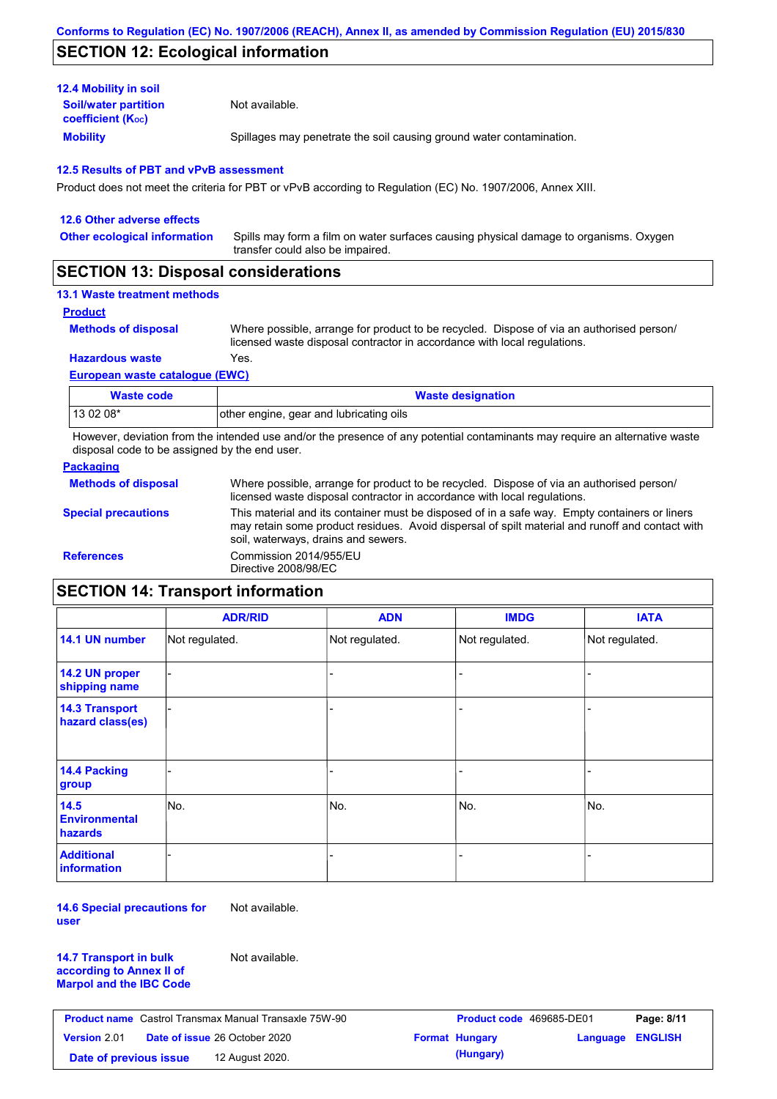## **SECTION 12: Ecological information**

| <b>12.4 Mobility in soil</b>                            |                                                                      |
|---------------------------------------------------------|----------------------------------------------------------------------|
| <b>Soil/water partition</b><br><b>coefficient (Koc)</b> | Not available.                                                       |
| <b>Mobility</b>                                         | Spillages may penetrate the soil causing ground water contamination. |

### **12.5 Results of PBT and vPvB assessment**

Product does not meet the criteria for PBT or vPvB according to Regulation (EC) No. 1907/2006, Annex XIII.

| 12.6 Other adverse effects          |                                                                                                                           |
|-------------------------------------|---------------------------------------------------------------------------------------------------------------------------|
| <b>Other ecological information</b> | Spills may form a film on water surfaces causing physical damage to organisms. Oxygen<br>transfer could also be impaired. |
|                                     |                                                                                                                           |

## **SECTION 13: Disposal considerations**

## **13.1 Waste treatment methods**

**Product**

**Methods of disposal**

Where possible, arrange for product to be recycled. Dispose of via an authorised person/ licensed waste disposal contractor in accordance with local regulations.

**Hazardous waste** Yes.

#### **European waste catalogue (EWC)**

| Waste code | <b>Waste designation</b>                |
|------------|-----------------------------------------|
| 13 02 08*  | other engine, gear and lubricating oils |

However, deviation from the intended use and/or the presence of any potential contaminants may require an alternative waste disposal code to be assigned by the end user.

### **Packaging**

| <b>Methods of disposal</b> | Where possible, arrange for product to be recycled. Dispose of via an authorised person/<br>licensed waste disposal contractor in accordance with local regulations.                                                                    |
|----------------------------|-----------------------------------------------------------------------------------------------------------------------------------------------------------------------------------------------------------------------------------------|
| <b>Special precautions</b> | This material and its container must be disposed of in a safe way. Empty containers or liners<br>may retain some product residues. Avoid dispersal of spilt material and runoff and contact with<br>soil, waterways, drains and sewers. |
| <b>References</b>          | Commission 2014/955/EU<br>Directive 2008/98/EC                                                                                                                                                                                          |

# **SECTION 14: Transport information**

|                                                | <b>ADR/RID</b> | <b>ADN</b>     | <b>IMDG</b>    | <b>IATA</b>    |
|------------------------------------------------|----------------|----------------|----------------|----------------|
| 14.1 UN number                                 | Not regulated. | Not regulated. | Not regulated. | Not regulated. |
| 14.2 UN proper<br>shipping name                |                |                |                |                |
| <b>14.3 Transport</b><br>hazard class(es)      |                |                |                |                |
| 14.4 Packing<br>group                          |                |                |                |                |
| 14.5<br><b>Environmental</b><br><b>hazards</b> | No.            | No.            | No.            | No.            |
| <b>Additional</b><br><b>information</b>        |                |                |                |                |

**14.6 Special precautions for user** Not available.

**14.7 Transport in bulk according to Annex II of Marpol and the IBC Code** Not available.

| <b>Product name</b> Castrol Transmax Manual Transaxle 75W-90 |  | <b>Product code</b> 469685-DE01      |  | Page: 8/11            |                         |  |
|--------------------------------------------------------------|--|--------------------------------------|--|-----------------------|-------------------------|--|
| Version 2.01                                                 |  | <b>Date of issue 26 October 2020</b> |  | <b>Format Hungary</b> | <b>Language ENGLISH</b> |  |
| Date of previous issue                                       |  | 12 August 2020.                      |  | (Hungary)             |                         |  |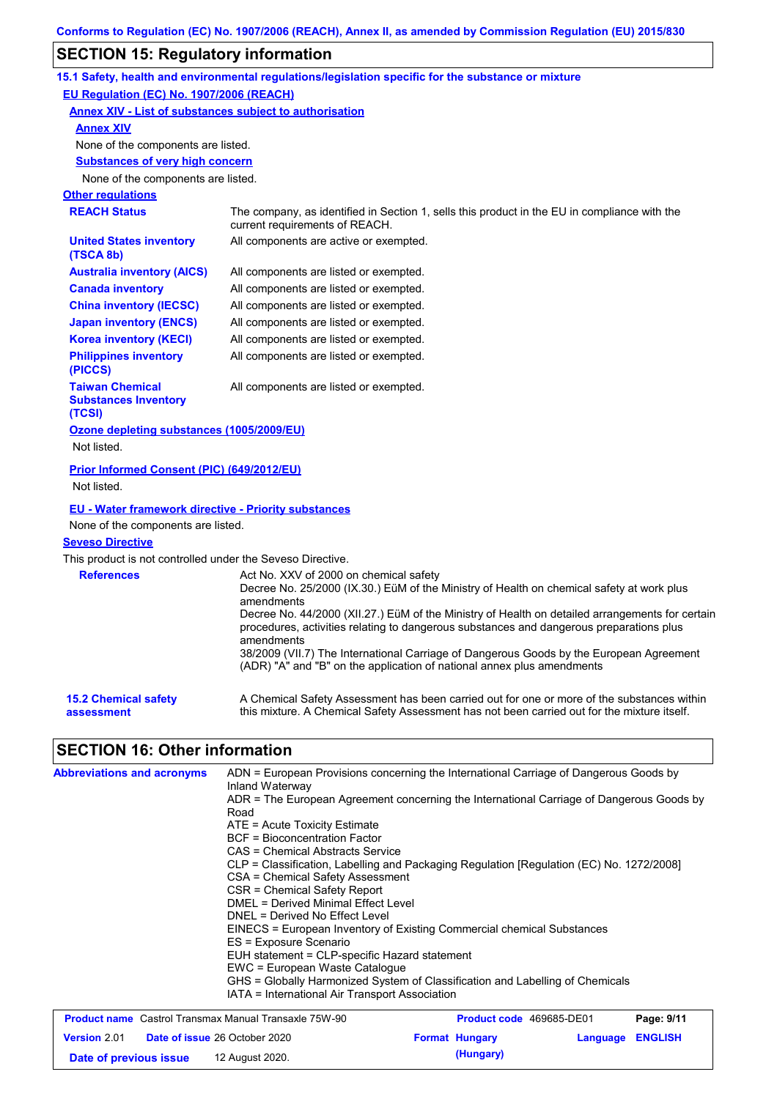# **SECTION 15: Regulatory information**

|                                                                 | 15.1 Safety, health and environmental regulations/legislation specific for the substance or mixture                                                                                                                                                                        |
|-----------------------------------------------------------------|----------------------------------------------------------------------------------------------------------------------------------------------------------------------------------------------------------------------------------------------------------------------------|
| EU Regulation (EC) No. 1907/2006 (REACH)                        |                                                                                                                                                                                                                                                                            |
|                                                                 | <b>Annex XIV - List of substances subject to authorisation</b>                                                                                                                                                                                                             |
| <b>Annex XIV</b>                                                |                                                                                                                                                                                                                                                                            |
| None of the components are listed.                              |                                                                                                                                                                                                                                                                            |
| <b>Substances of very high concern</b>                          |                                                                                                                                                                                                                                                                            |
| None of the components are listed.                              |                                                                                                                                                                                                                                                                            |
| <b>Other regulations</b>                                        |                                                                                                                                                                                                                                                                            |
| <b>REACH Status</b>                                             | The company, as identified in Section 1, sells this product in the EU in compliance with the<br>current requirements of REACH.                                                                                                                                             |
| <b>United States inventory</b><br>(TSCA 8b)                     | All components are active or exempted.                                                                                                                                                                                                                                     |
| <b>Australia inventory (AICS)</b>                               | All components are listed or exempted.                                                                                                                                                                                                                                     |
| <b>Canada inventory</b>                                         | All components are listed or exempted.                                                                                                                                                                                                                                     |
| <b>China inventory (IECSC)</b>                                  | All components are listed or exempted.                                                                                                                                                                                                                                     |
| <b>Japan inventory (ENCS)</b>                                   | All components are listed or exempted.                                                                                                                                                                                                                                     |
| <b>Korea inventory (KECI)</b>                                   | All components are listed or exempted.                                                                                                                                                                                                                                     |
| <b>Philippines inventory</b><br>(PICCS)                         | All components are listed or exempted.                                                                                                                                                                                                                                     |
| <b>Taiwan Chemical</b><br><b>Substances Inventory</b><br>(TCSI) | All components are listed or exempted.                                                                                                                                                                                                                                     |
| Ozone depleting substances (1005/2009/EU)<br>Not listed.        |                                                                                                                                                                                                                                                                            |
| Prior Informed Consent (PIC) (649/2012/EU)<br>Not listed.       |                                                                                                                                                                                                                                                                            |
| <b>EU - Water framework directive - Priority substances</b>     |                                                                                                                                                                                                                                                                            |
| None of the components are listed.                              |                                                                                                                                                                                                                                                                            |
| <b>Seveso Directive</b>                                         |                                                                                                                                                                                                                                                                            |
| This product is not controlled under the Seveso Directive.      |                                                                                                                                                                                                                                                                            |
| <b>References</b>                                               | Act No. XXV of 2000 on chemical safety<br>Decree No. 25/2000 (IX.30.) EüM of the Ministry of Health on chemical safety at work plus<br>amendments<br>Decree No. 44/2000 (XII.27.) EüM of the Ministry of Health on detailed arrangements for certain                       |
|                                                                 | procedures, activities relating to dangerous substances and dangerous preparations plus<br>amendments<br>38/2009 (VII.7) The International Carriage of Dangerous Goods by the European Agreement<br>(ADR) "A" and "B" on the application of national annex plus amendments |
| <b>15.2 Chemical safety</b><br>assessment                       | A Chemical Safety Assessment has been carried out for one or more of the substances within<br>this mixture. A Chemical Safety Assessment has not been carried out for the mixture itself.                                                                                  |
| <b>SECTION 16: Other information</b>                            |                                                                                                                                                                                                                                                                            |
| <b>Abbreviations and acronyms</b>                               | ADN = European Provisions concerning the International Carriage of Dangerous Goods by<br>Inland Waterway<br>$\Delta$ DR = The European Agreement concerning the International Carriage of Dangerous Goods by                                                               |

| Inland Waterway                                                                                                                                                                                                 |                                                                                          |
|-----------------------------------------------------------------------------------------------------------------------------------------------------------------------------------------------------------------|------------------------------------------------------------------------------------------|
| Road                                                                                                                                                                                                            | ADR = The European Agreement concerning the International Carriage of Dangerous Goods by |
| $ATE = Acute Toxicity Estimate$<br>BCF = Bioconcentration Factor<br>CAS = Chemical Abstracts Service<br>CSA = Chemical Safety Assessment<br>CSR = Chemical Safety Report<br>DMEL = Derived Minimal Effect Level | CLP = Classification, Labelling and Packaging Regulation [Regulation (EC) No. 1272/2008] |
| DNEL = Derived No Effect Level<br>ES = Exposure Scenario                                                                                                                                                        | EINECS = European Inventory of Existing Commercial chemical Substances                   |
| EUH statement = CLP-specific Hazard statement<br>EWC = European Waste Catalogue<br>IATA = International Air Transport Association                                                                               | GHS = Globally Harmonized System of Classification and Labelling of Chemicals            |
| <b>Product name</b> Castrol Transmax Manual Transaxle 75W-90                                                                                                                                                    | Page: 9/11<br><b>Product code</b> 469685-DE01                                            |
| <b>Version 2.01</b><br><b>Date of issue 26 October 2020</b>                                                                                                                                                     | <b>Format Hungary</b><br><b>Language ENGLISH</b>                                         |

**Date of previous issue (Hungary)** 12 August 2020.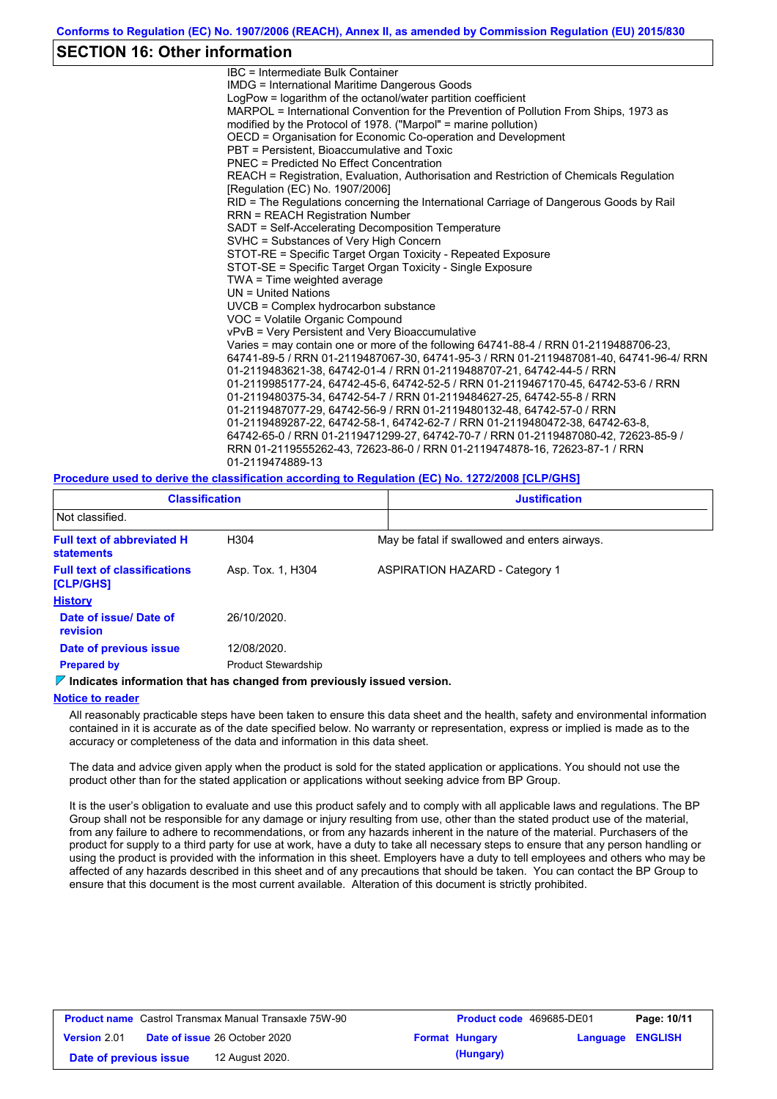### **SECTION 16: Other information**

IBC = Intermediate Bulk Container IMDG = International Maritime Dangerous Goods LogPow = logarithm of the octanol/water partition coefficient MARPOL = International Convention for the Prevention of Pollution From Ships, 1973 as modified by the Protocol of 1978. ("Marpol" = marine pollution) OECD = Organisation for Economic Co-operation and Development PBT = Persistent, Bioaccumulative and Toxic PNEC = Predicted No Effect Concentration REACH = Registration, Evaluation, Authorisation and Restriction of Chemicals Regulation [Regulation (EC) No. 1907/2006] RID = The Regulations concerning the International Carriage of Dangerous Goods by Rail RRN = REACH Registration Number SADT = Self-Accelerating Decomposition Temperature SVHC = Substances of Very High Concern STOT-RE = Specific Target Organ Toxicity - Repeated Exposure STOT-SE = Specific Target Organ Toxicity - Single Exposure TWA = Time weighted average UN = United Nations UVCB = Complex hydrocarbon substance VOC = Volatile Organic Compound vPvB = Very Persistent and Very Bioaccumulative Varies = may contain one or more of the following 64741-88-4 / RRN 01-2119488706-23, 64741-89-5 / RRN 01-2119487067-30, 64741-95-3 / RRN 01-2119487081-40, 64741-96-4/ RRN 01-2119483621-38, 64742-01-4 / RRN 01-2119488707-21, 64742-44-5 / RRN 01-2119985177-24, 64742-45-6, 64742-52-5 / RRN 01-2119467170-45, 64742-53-6 / RRN 01-2119480375-34, 64742-54-7 / RRN 01-2119484627-25, 64742-55-8 / RRN 01-2119487077-29, 64742-56-9 / RRN 01-2119480132-48, 64742-57-0 / RRN 01-2119489287-22, 64742-58-1, 64742-62-7 / RRN 01-2119480472-38, 64742-63-8, 64742-65-0 / RRN 01-2119471299-27, 64742-70-7 / RRN 01-2119487080-42, 72623-85-9 / RRN 01-2119555262-43, 72623-86-0 / RRN 01-2119474878-16, 72623-87-1 / RRN 01-2119474889-13

#### **Procedure used to derive the classification according to Regulation (EC) No. 1272/2008 [CLP/GHS]**

| <b>Classification</b>                            |                            | <b>Justification</b>                          |  |  |  |  |
|--------------------------------------------------|----------------------------|-----------------------------------------------|--|--|--|--|
| Not classified.                                  |                            |                                               |  |  |  |  |
| <b>Full text of abbreviated H</b><br>statements  | H304                       | May be fatal if swallowed and enters airways. |  |  |  |  |
| <b>Full text of classifications</b><br>[CLP/GHS] | Asp. Tox. 1, H304          | <b>ASPIRATION HAZARD - Category 1</b>         |  |  |  |  |
| <b>History</b>                                   |                            |                                               |  |  |  |  |
| Date of issue/ Date of<br><b>revision</b>        | 26/10/2020.                |                                               |  |  |  |  |
| Date of previous issue                           | 12/08/2020.                |                                               |  |  |  |  |
| <b>Prepared by</b>                               | <b>Product Stewardship</b> |                                               |  |  |  |  |

#### **Indicates information that has changed from previously issued version.**

#### **Notice to reader**

All reasonably practicable steps have been taken to ensure this data sheet and the health, safety and environmental information contained in it is accurate as of the date specified below. No warranty or representation, express or implied is made as to the accuracy or completeness of the data and information in this data sheet.

The data and advice given apply when the product is sold for the stated application or applications. You should not use the product other than for the stated application or applications without seeking advice from BP Group.

It is the user's obligation to evaluate and use this product safely and to comply with all applicable laws and regulations. The BP Group shall not be responsible for any damage or injury resulting from use, other than the stated product use of the material, from any failure to adhere to recommendations, or from any hazards inherent in the nature of the material. Purchasers of the product for supply to a third party for use at work, have a duty to take all necessary steps to ensure that any person handling or using the product is provided with the information in this sheet. Employers have a duty to tell employees and others who may be affected of any hazards described in this sheet and of any precautions that should be taken. You can contact the BP Group to ensure that this document is the most current available. Alteration of this document is strictly prohibited.

| <b>Product name</b> Castrol Transmax Manual Transaxle 75W-90 |  | <b>Product code</b> 469685-DE01      |  | Page: 10/11           |                         |  |
|--------------------------------------------------------------|--|--------------------------------------|--|-----------------------|-------------------------|--|
| <b>Version 2.01</b>                                          |  | <b>Date of issue 26 October 2020</b> |  | <b>Format Hungary</b> | <b>Language ENGLISH</b> |  |
| Date of previous issue                                       |  | 12 August 2020.                      |  | (Hungary)             |                         |  |